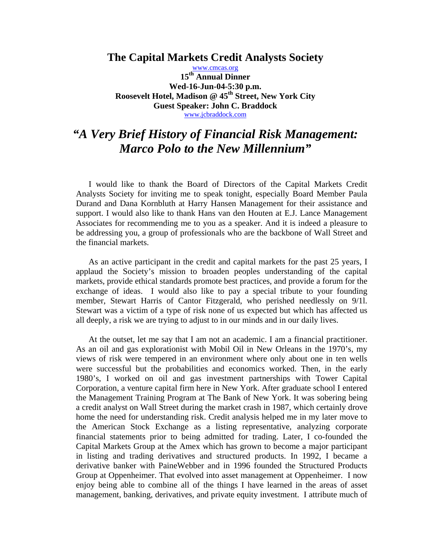**The Capital Markets Credit Analysts Society** 

www.cmcas.org **15th Annual Dinner Wed-16-Jun-04-5:30 p.m.**  Roosevelt Hotel, Madison @ 45<sup>th</sup> Street, New York City **Guest Speaker: John C. Braddock**  www.jcbraddock.com

## *"A Very Brief History of Financial Risk Management: Marco Polo to the New Millennium"*

I would like to thank the Board of Directors of the Capital Markets Credit Analysts Society for inviting me to speak tonight, especially Board Member Paula Durand and Dana Kornbluth at Harry Hansen Management for their assistance and support. I would also like to thank Hans van den Houten at E.J. Lance Management Associates for recommending me to you as a speaker. And it is indeed a pleasure to be addressing you, a group of professionals who are the backbone of Wall Street and the financial markets.

 As an active participant in the credit and capital markets for the past 25 years, I applaud the Society's mission to broaden peoples understanding of the capital markets, provide ethical standards promote best practices, and provide a forum for the exchange of ideas. I would also like to pay a special tribute to your founding member, Stewart Harris of Cantor Fitzgerald, who perished needlessly on 9/1l. Stewart was a victim of a type of risk none of us expected but which has affected us all deeply, a risk we are trying to adjust to in our minds and in our daily lives.

 At the outset, let me say that I am not an academic. I am a financial practitioner. As an oil and gas explorationist with Mobil Oil in New Orleans in the 1970's, my views of risk were tempered in an environment where only about one in ten wells were successful but the probabilities and economics worked. Then, in the early 1980's, I worked on oil and gas investment partnerships with Tower Capital Corporation, a venture capital firm here in New York. After graduate school I entered the Management Training Program at The Bank of New York. It was sobering being a credit analyst on Wall Street during the market crash in 1987, which certainly drove home the need for understanding risk. Credit analysis helped me in my later move to the American Stock Exchange as a listing representative, analyzing corporate financial statements prior to being admitted for trading. Later, I co-founded the Capital Markets Group at the Amex which has grown to become a major participant in listing and trading derivatives and structured products. In 1992, I became a derivative banker with PaineWebber and in 1996 founded the Structured Products Group at Oppenheimer. That evolved into asset management at Oppenheimer. I now enjoy being able to combine all of the things I have learned in the areas of asset management, banking, derivatives, and private equity investment. I attribute much of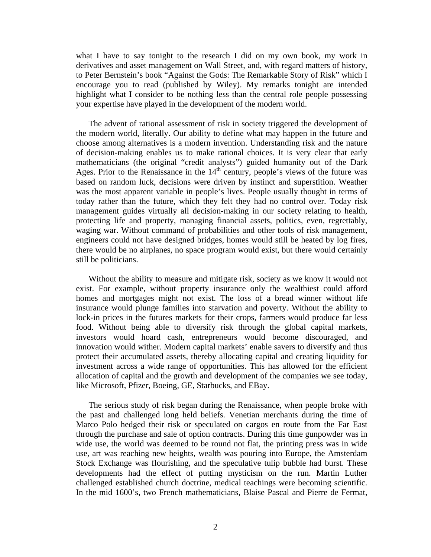what I have to say tonight to the research I did on my own book, my work in derivatives and asset management on Wall Street, and, with regard matters of history, to Peter Bernstein's book "Against the Gods: The Remarkable Story of Risk" which I encourage you to read (published by Wiley). My remarks tonight are intended highlight what I consider to be nothing less than the central role people possessing your expertise have played in the development of the modern world.

 The advent of rational assessment of risk in society triggered the development of the modern world, literally. Our ability to define what may happen in the future and choose among alternatives is a modern invention. Understanding risk and the nature of decision-making enables us to make rational choices. It is very clear that early mathematicians (the original "credit analysts") guided humanity out of the Dark Ages. Prior to the Renaissance in the  $14<sup>th</sup>$  century, people's views of the future was based on random luck, decisions were driven by instinct and superstition. Weather was the most apparent variable in people's lives. People usually thought in terms of today rather than the future, which they felt they had no control over. Today risk management guides virtually all decision-making in our society relating to health, protecting life and property, managing financial assets, politics, even, regrettably, waging war. Without command of probabilities and other tools of risk management, engineers could not have designed bridges, homes would still be heated by log fires, there would be no airplanes, no space program would exist, but there would certainly still be politicians.

 Without the ability to measure and mitigate risk, society as we know it would not exist. For example, without property insurance only the wealthiest could afford homes and mortgages might not exist. The loss of a bread winner without life insurance would plunge families into starvation and poverty. Without the ability to lock-in prices in the futures markets for their crops, farmers would produce far less food. Without being able to diversify risk through the global capital markets, investors would hoard cash, entrepreneurs would become discouraged, and innovation would wither. Modern capital markets' enable savers to diversify and thus protect their accumulated assets, thereby allocating capital and creating liquidity for investment across a wide range of opportunities. This has allowed for the efficient allocation of capital and the growth and development of the companies we see today, like Microsoft, Pfizer, Boeing, GE, Starbucks, and EBay.

 The serious study of risk began during the Renaissance, when people broke with the past and challenged long held beliefs. Venetian merchants during the time of Marco Polo hedged their risk or speculated on cargos en route from the Far East through the purchase and sale of option contracts. During this time gunpowder was in wide use, the world was deemed to be round not flat, the printing press was in wide use, art was reaching new heights, wealth was pouring into Europe, the Amsterdam Stock Exchange was flourishing, and the speculative tulip bubble had burst. These developments had the effect of putting mysticism on the run. Martin Luther challenged established church doctrine, medical teachings were becoming scientific. In the mid 1600's, two French mathematicians, Blaise Pascal and Pierre de Fermat,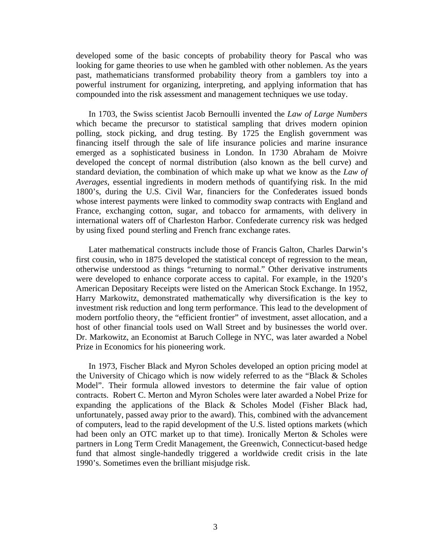developed some of the basic concepts of probability theory for Pascal who was looking for game theories to use when he gambled with other noblemen. As the years past, mathematicians transformed probability theory from a gamblers toy into a powerful instrument for organizing, interpreting, and applying information that has compounded into the risk assessment and management techniques we use today.

 In 1703, the Swiss scientist Jacob Bernoulli invented the *Law of Large Numbers* which became the precursor to statistical sampling that drives modern opinion polling, stock picking, and drug testing. By 1725 the English government was financing itself through the sale of life insurance policies and marine insurance emerged as a sophisticated business in London. In 1730 Abraham de Moivre developed the concept of normal distribution (also known as the bell curve) and standard deviation, the combination of which make up what we know as the *Law of Averages*, essential ingredients in modern methods of quantifying risk. In the mid 1800's, during the U.S. Civil War, financiers for the Confederates issued bonds whose interest payments were linked to commodity swap contracts with England and France, exchanging cotton, sugar, and tobacco for armaments, with delivery in international waters off of Charleston Harbor. Confederate currency risk was hedged by using fixed pound sterling and French franc exchange rates.

 Later mathematical constructs include those of Francis Galton, Charles Darwin's first cousin, who in 1875 developed the statistical concept of regression to the mean, otherwise understood as things "returning to normal." Other derivative instruments were developed to enhance corporate access to capital. For example, in the 1920's American Depositary Receipts were listed on the American Stock Exchange. In 1952, Harry Markowitz, demonstrated mathematically why diversification is the key to investment risk reduction and long term performance. This lead to the development of modern portfolio theory, the "efficient frontier" of investment, asset allocation, and a host of other financial tools used on Wall Street and by businesses the world over. Dr. Markowitz, an Economist at Baruch College in NYC, was later awarded a Nobel Prize in Economics for his pioneering work.

 In 1973, Fischer Black and Myron Scholes developed an option pricing model at the University of Chicago which is now widely referred to as the "Black & Scholes Model". Their formula allowed investors to determine the fair value of option contracts. Robert C. Merton and Myron Scholes were later awarded a Nobel Prize for expanding the applications of the Black & Scholes Model (Fisher Black had, unfortunately, passed away prior to the award). This, combined with the advancement of computers, lead to the rapid development of the U.S. listed options markets (which had been only an OTC market up to that time). Ironically Merton & Scholes were partners in Long Term Credit Management, the Greenwich, Connecticut-based hedge fund that almost single-handedly triggered a worldwide credit crisis in the late 1990's. Sometimes even the brilliant misjudge risk.